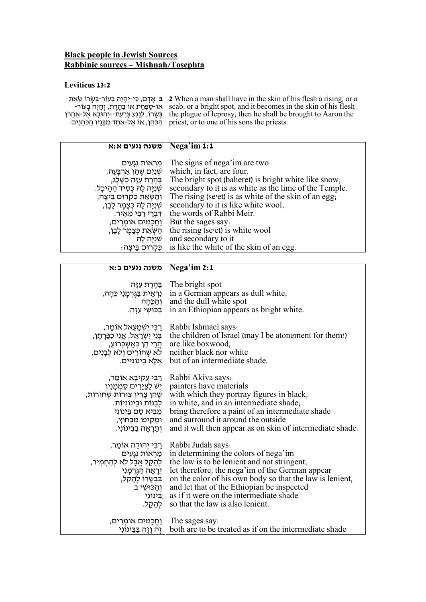## **Black people in Jewish Sources Rabbinic sources – Mishnah/Tosephta**

## **Leviticus 13:2**

| י אָמָת פֿי-יִהְיֵה בְּעוֹר-בְּשָׂרוֹ שְׂאֵת 2 When a man shall have in the skin of his flesh a rising, or a    |
|-----------------------------------------------------------------------------------------------------------------|
| - אוֹ-סַפַּחַת אוֹ בַהֲרַת, וְחָיָה בְעוֹר scab, or a bright spot, and it becomes in the skin of his flesh      |
| the plague of leprosy, then he shall be brought to Aaron the – בְּשָׂרוֹ, לְגֵנַע צָרָעַת--וְהוּבָא אֱל-אַחֲרֹן |
| . priest, or to one of his sons the priests הַכֹּהֵן, אוֹ אֵל-אַחַד מִבָּנָיו הַכֹּהֵנִים.                      |

| משנה נגעים א:א                        | $\sqrt{\text{Nega'im 1:1}}$                               |
|---------------------------------------|-----------------------------------------------------------|
|                                       |                                                           |
| מַרְאוֹת נְגָעִים                     | The signs of nega'im are two                              |
| ּשְׁנַיִם שֶׁהֵן אַרְבָּעָה.          | which, in fact, are four.                                 |
| ַבַּהֵרֶת עַזָּה כַשֶּׁלֵג,           | The bright spot (baheret) is bright white like snow;      |
| שִׁנִיָּה לָה כִּסִיד הַהֵיכָל.       | secondary to it is as white as the lime of the Temple.    |
| וְהַשְּׂאֵת כִּקְרוּם בֵּיצָה,        | The rising (sevet) is as white of the skin of an egg,     |
| ְשְׁנִיָּה לָה כְּצֶמֶר לָבָן,        | secondary to it is like white wool,                       |
| דִּבְרֵי רַבִּי מֵאִיר.               | the words of Rabbi Meir.                                  |
| וַחֲכָמִים אוֹמְרִים,                 | But the sages say:                                        |
| הַשְּׂאֵת כִּצֲמֵר לָבָן,             | the rising (se'et) is white wool                          |
| שִׁוְיָה לָה                          | and secondary to it                                       |
| ּ   כִּקְרוּם בֵּיצָה                 | is like the white of the skin of an egg.                  |
|                                       |                                                           |
| משנה נגעים ב:א                        | Nega'im 2:1                                               |
|                                       |                                                           |
| בַּהֵרֶת עַזָּה                       | The bright spot                                           |
| ∣ נִרְאֵית בַּגֶּרְמָנִי כֵּהָה,      | in a German appears as dull white,                        |
| וְהַכֵּהָה                            | and the dull white spot                                   |
| ַבַּכּוּשִׁי <u>עַז</u> ּה.           | in an Ethiopian appears as bright white.                  |
|                                       |                                                           |
| רַבִּי יִשְׁמָעֵאל אוֹמֵר,            | Rabbi Ishmael says:                                       |
| ְבְּנֵי יִשְׂרָאֱל, אֲנִי כַפְּרָתָן, | the children of Israel (may I be atonement for them!)     |
| ∣ הֵרֵי הֵן כִּאֲשָׁכָּרוֹעַ,         | are like boxwood,                                         |
| לא שְׁחוֹרִים וְלֹא לְבָנִים,         | neither black nor white                                   |
| ּאֵלֵא בֵינוֹנִיִּים.                 | but of an intermediate shade.                             |
|                                       |                                                           |
| רַבִּי עֵקִיבָא אוֹמֵר,               | Rabbi Akiva says:                                         |
| יֵשׁ לַצַיָּרִים סַמְמָוִין           | painters have materials                                   |
| שֶׁהֵן צָרִין צוּרוֹת שְׁחוֹרוֹת,     | with which they portray figures in black,                 |
| לִבָנוֹת וּבֵינוֹנִיּוֹת.             | in white, and in an intermediate shade,                   |
| מֵבִיא סַם בֵּינוֹנִי                 | bring therefore a paint of an intermediate shade          |
| ומקיפו מבחוץ,                         | and surround it around the outside                        |
| וְתֵרָאֵה בַבֵּינוֹנִי.               | and it will then appear as on skin of intermediate shade. |
|                                       |                                                           |
|                                       | ן רַבְּי יְהוּדָה אוֹמֵר,   Rabbi Judah says:             |
| מַרְאוֹת נְגַעִים                     | in determining the colors of nega'im                      |
| לְהָקֵל אֲבָל לֹא לְהַחְמִיר,         | the law is to be lenient and not stringent,               |
| יֵרְאֵה הַגֵּרְמָנִי                  | let therefore, the nega'im of the German appear           |
| בִּבְשָׂרוֹ לְהָקֵל,                  | on the color of his own body so that the law is lenient,  |
| וְהַכּוּשֶׁי ב                        | and let that of the Ethiopian be inspected                |
| ַבֵּינוֹנִי                           | as if it were on the intermediate shade                   |
| לְהָקֵל.                              | so that the law is also lenient.                          |
|                                       |                                                           |
| <u>וַחֲכָמְים אוֹמְרִים,</u>          | The sages say:                                            |
| זֵה וַזֶה בַּבֵּינוֹנִי               | both are to be treated as if on the intermediate shade    |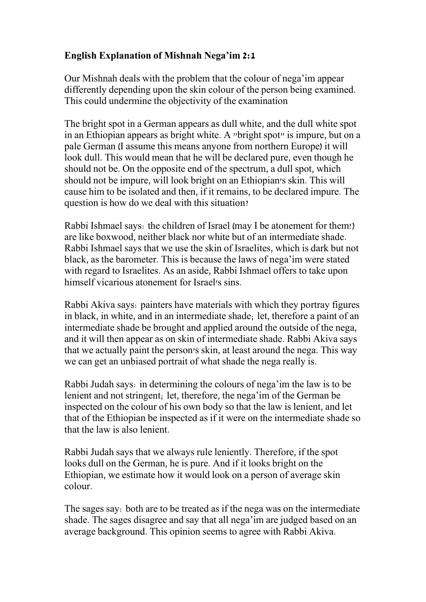## **English Explanation of Mishnah Nega'im 2:1**

Our Mishnah deals with the problem that the colour of nega'im appear differently depending upon the skin colour of the person being examined. This could undermine the objectivity of the examination

The bright spot in a German appears as dull white, and the dull white spot in an Ethiopian appears as bright white. A "bright spot" is impure, but on a pale German (I assume this means anyone from northern Europe) it will look dull. This would mean that he will be declared pure, even though he should not be. On the opposite end of the spectrum, a dull spot, which should not be impure, will look bright on an Ethiopian's skin. This will cause him to be isolated and then, if it remains, to be declared impure. The question is how do we deal with this situation?

Rabbi Ishmael says: the children of Israel (may I be atonement for them!) are like boxwood, neither black nor white but of an intermediate shade. Rabbi Ishmael says that we use the skin of Israelites, which is dark but not black, as the barometer. This is because the laws of nega'im were stated with regard to Israelites. As an aside, Rabbi Ishmael offers to take upon himself vicarious atonement for Israel's sins.

Rabbi Akiva says: painters have materials with which they portray figures in black, in white, and in an intermediate shade; let, therefore a paint of an intermediate shade be brought and applied around the outside of the nega, and it will then appear as on skin of intermediate shade. Rabbi Akiva says that we actually paint the person's skin, at least around the nega. This way we can get an unbiased portrait of what shade the nega really is.

Rabbi Judah says: in determining the colours of nega'im the law is to be lenient and not stringent; let, therefore, the nega'im of the German be inspected on the colour of his own body so that the law is lenient, and let that of the Ethiopian be inspected as if it were on the intermediate shade so that the law is also lenient.

Rabbi Judah says that we always rule leniently. Therefore, if the spot looks dull on the German, he is pure. And if it looks bright on the Ethiopian, we estimate how it would look on a person of average skin colour.

The sages say: both are to be treated as if the nega was on the intermediate shade. The sages disagree and say that all nega'im are judged based on an average background. This opinion seems to agree with Rabbi Akiva.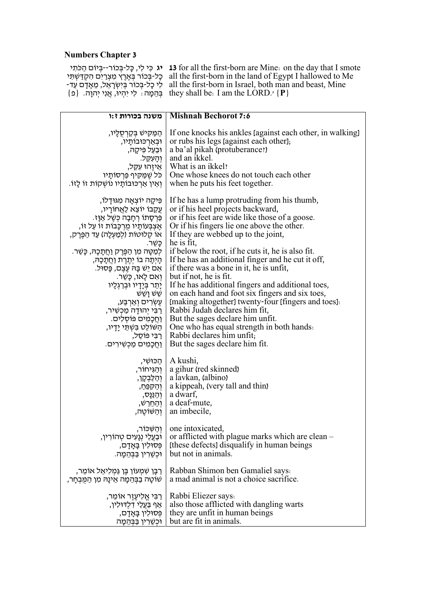## **Numbers Chapter 3**

**יג** כִּי לִי, כָּל-בְּכוֹר--בְּיוֹם הַכֹּתִי כָל-בְּכוֹר בְּאֶרֶץ מִצְרַיִם הִקְדַּשְׁתִּי לִי כָל-בְּכוֹר בְּיִשְׂרָאֵל, מֵאָדָם עַד-בְּהֵמֶה : לִי יִהְיוּ, אֲנִי יְהוָה. {פ

**13** for all the first-born are Mine: on the day that I smote all the first-born in the land of Egypt I hallowed to Me all the first-born in Israel, both man and beast, Mine they shall be: I am the LORD.' **{P}**

| משנה בכורות ז:ו                                                                                                                                                                                                                                                                                                                                                                                                                                                                                                                                                                          | <b>Mishnah Bechorot 7:6</b>                                                                                                                                                                                                                                                                                                                                                                                                                                                                                                                                                                                                                                                                                                                                          |
|------------------------------------------------------------------------------------------------------------------------------------------------------------------------------------------------------------------------------------------------------------------------------------------------------------------------------------------------------------------------------------------------------------------------------------------------------------------------------------------------------------------------------------------------------------------------------------------|----------------------------------------------------------------------------------------------------------------------------------------------------------------------------------------------------------------------------------------------------------------------------------------------------------------------------------------------------------------------------------------------------------------------------------------------------------------------------------------------------------------------------------------------------------------------------------------------------------------------------------------------------------------------------------------------------------------------------------------------------------------------|
| ְהַמַּקִּישׁ בְּקַרְסֻלָּיו,<br>  וּבְאַרְכּוּבוֹתָיו,<br>∣ וּבַעַל פִּיקָה,<br>  כֹּל שֶׁמַקִיף פַּרְסוֹתָיו<br>וְאֵין אַרְכּוּבוֹתָיו נוֹשְקוֹת זוֹ לָזוֹ.                                                                                                                                                                                                                                                                                                                                                                                                                             | If one knocks his ankles [against each other, in walking]<br>or rubs his legs (against each other);<br>a ba'al pikah (protuberance!)<br>ן חָנִשְל and an ikkel.<br>אֵיזֶהוּ עִקֵל, What is an ikkel?<br>One whose knees do not touch each other<br>when he puts his feet together.                                                                                                                                                                                                                                                                                                                                                                                                                                                                                   |
| פִּיקָה יוֹצְאָה מְגּוּדָלוֹ,<br>ְעֵקֵבוֹ יוֹצֵא לַאֲחוֹרָיו,<br>ּפְּרִסַתוֹ רְחָבָה כִּשֶׁל אַוָּז.<br>אֵצְבָּעוֹתָיו מְרְכָּבוֹת זו עַל זו,<br>  או קלוּטות (לִמַעִלָה) עַד הַפֵּרֵק,<br>ַ כַּשֶׁר<br>לְמַטָּה מִן הַפֶּרֶק וַחֲתָכָהּ, כָּשֵׁר.<br>הָיְתָה בוֹ יְתֶרֶת וַחֲתָכָהּ,<br>ּאִם יֵשׁ בָּה עֵצֵם, פָּסוּל.<br>  וְאִם לָאו, כָּשֵׁר.<br>ן יָתֵר בְּיָדָיו וּבְרַגְלָיו<br>שֵׁשׁ <u>ו</u> ְשֵׁש<br>  עֵשְׂרִים וְאַרְבַּע,<br>ַרְבִּי יְהוּדָה מַכְשִׁיר,<br>וַחֲכָמִים פּוֹסְלִים.<br>השׁוֹלֵט בִּשְׁתֵּי יָדָיו,<br>  רַבִּי פּוֹסֵל,<br><u>ן וַחֲכָמְים מַכְשְׁירִים.</u> | If he has a lump protruding from his thumb,<br>or if his heel projects backward,<br>or if his feet are wide like those of a goose.<br>Or if his fingers lie one above the other.<br>If they are webbed up to the joint,<br>he is fit,<br>if below the root, if he cuts it, he is also fit.<br>If he has an additional finger and he cut it off,<br>if there was a bone in it, he is unfit,<br>but if not, he is fit.<br>If he has additional fingers and additional toes,<br>on each hand and foot six fingers and six toes,<br>[making altogether] twenty-four [fingers and toes]:<br>Rabbi Judah declares him fit,<br>But the sages declare him unfit.<br>One who has equal strength in both hands.<br>Rabbi declares him unfit,<br>But the sages declare him fit. |
| ∣ וִהֲגִיחוֹר,<br>  וְהַלַּבְקָן,<br>וִהַקְפֵּח,<br>וְהַנַּנְס,<br>ּוְהַחֲרֵשׁ,<br>∣ וִהַשּׁוֹטֵה,                                                                                                                                                                                                                                                                                                                                                                                                                                                                                       | , A kushi   הכּוּשִׁי   A kushi<br>a gihur (red skinned)<br>a lavkan, (albino)<br>a kippeah, (very tall and thin)<br>a dwarf,<br>a deaf-mute,<br>an imbecile,                                                                                                                                                                                                                                                                                                                                                                                                                                                                                                                                                                                                        |
| וּבַעֲלֵי נְגָעִים טְהוֹרִין,<br>פּסוּלין בַּאַדַם,<br>ּוּכְשֶׁרִין בַּבְּהֵמַה.                                                                                                                                                                                                                                                                                                                                                                                                                                                                                                         | ן יְהַשְּׁכּוֹר   one intoxicated,<br>or afflicted with plague marks which are clean -<br>(these defects) disqualify in human beings<br>but not in animals.                                                                                                                                                                                                                                                                                                                                                                                                                                                                                                                                                                                                          |
| ַרַבָּן שִׁמְעוֹן בֵּן גַּמְלִיאֵל אוֹמֵר,<br>שׁוֹטָה בַבְּהֵמָה אֵינָהּ מְן הַמֵּבְחָר,                                                                                                                                                                                                                                                                                                                                                                                                                                                                                                 | Rabban Shimon ben Gamaliel says:<br>a mad animal is not a choice sacrifice.                                                                                                                                                                                                                                                                                                                                                                                                                                                                                                                                                                                                                                                                                          |
| ַרַבִּי אֱלִיעֵזֵר אוֹמֵר,<br>אַף בַּעֲלֵי דִלְדּוּלִין,<br>פִּסוּלִין בָּאֲדָם,<br>וּכִשֵּׁרִין בַּבְּהֻמָּה                                                                                                                                                                                                                                                                                                                                                                                                                                                                            | Rabbi Eliezer says:<br>also those afflicted with dangling warts<br>they are unfit in human beings<br>but are fit in animals.                                                                                                                                                                                                                                                                                                                                                                                                                                                                                                                                                                                                                                         |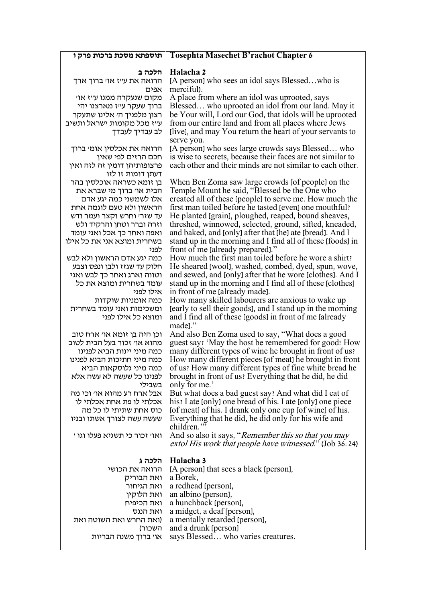| תוספתא מסכת ברכות פרק ו                                   | <b>Tosephta Masechet B'rachot Chapter 6</b>                                                                       |
|-----------------------------------------------------------|-------------------------------------------------------------------------------------------------------------------|
| הלכה ב                                                    |                                                                                                                   |
| הרואה את ע״ז או׳ ברוך ארך                                 | Halacha 2<br>[A person] who sees an idol says Blessedwho is                                                       |
| אפים                                                      | merciful).                                                                                                        |
| מקום שנעקרה ממנו ע״ז או׳                                  | A place from where an idol was uprooted, says                                                                     |
| ברוך שעקר עייז מארצנו יהי                                 | Blessed who uprooted an idol from our land. May it                                                                |
| רצון מלפניך ה׳ אלינו שתעקר                                | be Your will, Lord our God, that idols will be uprooted                                                           |
| ע״ז מכל מקומות ישראל ותשיב                                | from our entire land and from all places where Jews                                                               |
| לב עבדיך לעבדך                                            | (live), and may You return the heart of your servants to                                                          |
| הרואה את אכלסין אומי ברוך                                 | serve you.<br>[A person] who sees large crowds says Blessed who                                                   |
| חכם הרזים לפי שאין                                        | is wise to secrets, because their faces are not similar to                                                        |
| פרצופותיהן דומין זה לזה ואין                              | each other and their minds are not similar to each other.                                                         |
| דעתן דומות זו לזו                                         |                                                                                                                   |
| בן זומא כשראה אוכלסין בהר                                 | When Ben Zoma saw large crowds [of people] on the                                                                 |
| הבית או׳ ברוך מי שברא את                                  | Temple Mount he said, "Blessed be the One who                                                                     |
| אלו לשמשני כמה יגע אדם<br>הראשון ולא טעם לוגמה אחת        | created all of these [people] to serve me. How much the<br>first man toiled before he tasted [even] one mouthful? |
| עד שזר׳ וחרש וקצר ועמר ודש                                | He planted (grain), ploughed, reaped, bound sheaves,                                                              |
| וזרה וברר וטחן והרקיד ולש                                 | threshed, winnowed, selected, ground, sifted, kneaded,                                                            |
| ואפה ואחר כך אכל ואני עומד                                | and baked, and [only] after that [he] ate [bread]. And I                                                          |
| בשחרית ומוצא אני את כל אילו                               | stand up in the morning and I find all of these [foods] in                                                        |
| לפני                                                      | front of me [already prepared]."                                                                                  |
| כמה יגע אדם הראשון ולא לבש<br>חלוק עד שגזז ולבן ונפס וצבע | How much the first man toiled before he wore a shirt?<br>He sheared [wool], washed, combed, dyed, spun, wove,     |
| וטווה וארג ואחר כך לבש ואני                               | and sewed, and [only] after that he wore [clothes]. And I                                                         |
| עומד בשחרית ומוצא את כל                                   | stand up in the morning and I find all of these (clothes)                                                         |
| אילו לפני                                                 | in front of me [already made].                                                                                    |
| כמה אומניות שוקדות                                        | How many skilled labourers are anxious to wake up                                                                 |
| ומשכימות ואני עומד בשחרית                                 | (early to sell their goods), and I stand up in the morning                                                        |
| ומוצא כל אילו לפני                                        | and I find all of these [goods] in front of me [already]<br>made]."                                               |
| וכן היה בן זומא או׳ ארח טוב                               | And also Ben Zoma used to say, "What does a good                                                                  |
| מהוא או׳ זכור בעל הבית לטוב                               | guest say: 'May the host be remembered for good! How                                                              |
| כמה מיני יינות הביא לפנינו                                | many different types of wine he brought in front of us?                                                           |
| כמה מיני חתיכות הביא לפנינו                               | How many different pieces (of meat) he brought in front                                                           |
| כמה מיני גלוסקאות הביא<br>לפנינו כל שעשה לא עשה אלא       | of us? How many different types of fine white bread he<br>brought in front of us? Everything that he did, he did  |
| בשבילי                                                    | only for me.'                                                                                                     |
| אבל ארח רע מהוא אוי וכי מה                                | But what does a bad guest say? And what did I eat of                                                              |
| אכלתי לו פת אחת אכלתי לו                                  | his? I ate [only] one bread of his. I ate [only] one piece                                                        |
| כוס אחת שתיתי לו כל מה                                    | [of meat] of his. I drank only one cup [of wine] of his.                                                          |
| שעשה עשה לצורך אשתו ובניו                                 | Everything that he did, he did only for his wife and<br>children."                                                |
| ואוי זכור כי תשגיא פעלו וגו י                             | And so also it says, " <i>Remember this so that you may</i>                                                       |
|                                                           | extol His work that people have witnessed." (Job 36:24)                                                           |
|                                                           |                                                                                                                   |
| הלכה ג                                                    | Halacha 3                                                                                                         |
| הרואה את הכושי                                            | [A person] that sees a black [person],                                                                            |
| ואת הבוריק<br>ואת הגיחור                                  | a Borek,<br>a redhead [person],                                                                                   |
| ואת הלוקין                                                | an albino (person),                                                                                               |
| ואת הכיפיח                                                | a hunchback (person),                                                                                             |
| ואת הננס                                                  | a midget, a deaf (person),                                                                                        |
| (ואת החרש ואת השוטה ואת                                   | a mentally retarded [person],                                                                                     |
| השכור)                                                    | and a drunk [person]                                                                                              |
| אוי ברוך משנה הבריות                                      | says Blessed who varies creatures.                                                                                |
|                                                           |                                                                                                                   |